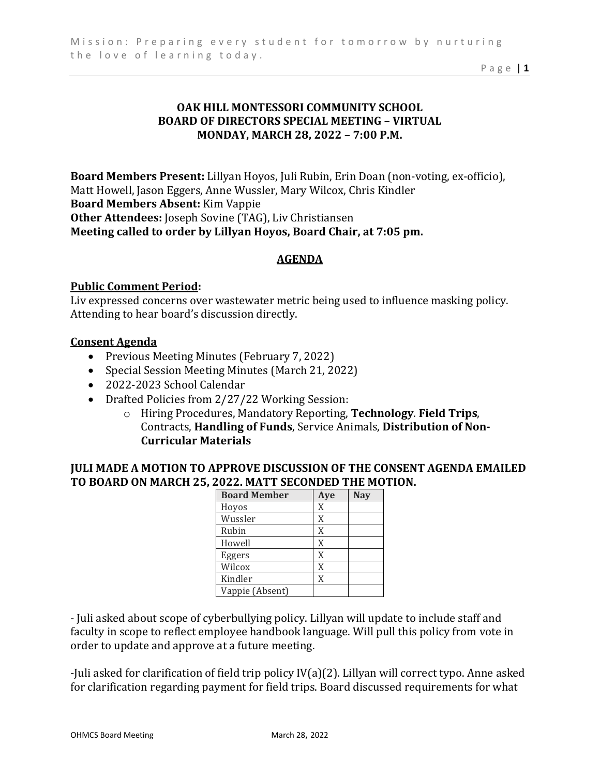Page | **1**

# **OAK HILL MONTESSORI COMMUNITY SCHOOL BOARD OF DIRECTORS SPECIAL MEETING – VIRTUAL MONDAY, MARCH 28, 2022 – 7:00 P.M.**

**Board Members Present:** Lillyan Hoyos, Juli Rubin, Erin Doan (non-voting, ex-officio), Matt Howell, Jason Eggers, Anne Wussler, Mary Wilcox, Chris Kindler **Board Members Absent:** Kim Vappie **Other Attendees:** Joseph Sovine (TAG), Liv Christiansen **Meeting called to order by Lillyan Hoyos, Board Chair, at 7:05 pm.**

## **AGENDA**

## **Public Comment Period:**

Liv expressed concerns over wastewater metric being used to influence masking policy. Attending to hear board's discussion directly.

### **Consent Agenda**

- Previous Meeting Minutes (February 7, 2022)
- Special Session Meeting Minutes (March 21, 2022)
- 2022-2023 School Calendar
- Drafted Policies from 2/27/22 Working Session:
	- o Hiring Procedures, Mandatory Reporting, **Technology**. **Field Trips**, Contracts, **Handling of Funds**, Service Animals, **Distribution of Non-Curricular Materials**

## **JULI MADE A MOTION TO APPROVE DISCUSSION OF THE CONSENT AGENDA EMAILED TO BOARD ON MARCH 25, 2022. MATT SECONDED THE MOTION.**

| <b>Board Member</b> | Aye | <b>Nay</b> |
|---------------------|-----|------------|
| Hoyos               | X   |            |
| Wussler             | X   |            |
| Rubin               | X   |            |
| Howell              | X   |            |
| Eggers              | X   |            |
| Wilcox              | X   |            |
| Kindler             | X   |            |
| Vappie (Absent)     |     |            |

- Juli asked about scope of cyberbullying policy. Lillyan will update to include staff and faculty in scope to reflect employee handbook language. Will pull this policy from vote in order to update and approve at a future meeting.

-Juli asked for clarification of field trip policy IV(a)(2). Lillyan will correct typo. Anne asked for clarification regarding payment for field trips. Board discussed requirements for what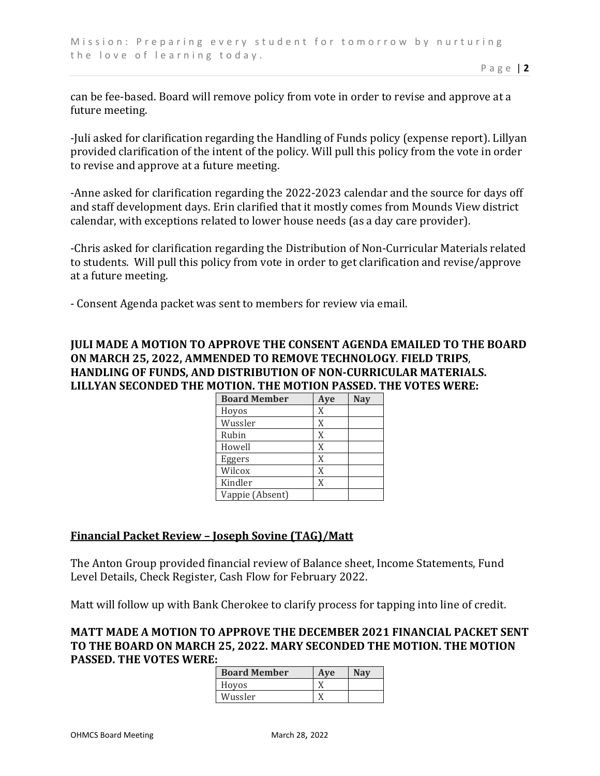can be fee-based. Board will remove policy from vote in order to revise and approve at a future meeting.

-Juli asked for clarification regarding the Handling of Funds policy (expense report). Lillyan provided clarification of the intent of the policy. Will pull this policy from the vote in order to revise and approve at a future meeting.

-Anne asked for clarification regarding the 2022-2023 calendar and the source for days off and staff development days. Erin clarified that it mostly comes from Mounds View district calendar, with exceptions related to lower house needs (as a day care provider).

-Chris asked for clarification regarding the Distribution of Non-Curricular Materials related to students. Will pull this policy from vote in order to get clarification and revise/approve at a future meeting.

- Consent Agenda packet was sent to members for review via email.

# **JULI MADE A MOTION TO APPROVE THE CONSENT AGENDA EMAILED TO THE BOARD ON MARCH 25, 2022, AMMENDED TO REMOVE TECHNOLOGY**. **FIELD TRIPS**, **HANDLING OF FUNDS, AND DISTRIBUTION OF NON-CURRICULAR MATERIALS. LILLYAN SECONDED THE MOTION. THE MOTION PASSED. THE VOTES WERE:**

| <b>Board Member</b> | Aye | <b>Nay</b> |
|---------------------|-----|------------|
| Hoyos               | X   |            |
| Wussler             | X   |            |
| Rubin               | X   |            |
| Howell              | X   |            |
| Eggers              | X   |            |
| Wilcox              | X   |            |
| Kindler             | X   |            |
| Vappie (Absent)     |     |            |

## **Financial Packet Review – Joseph Sovine (TAG)/Matt**

The Anton Group provided financial review of Balance sheet, Income Statements, Fund Level Details, Check Register, Cash Flow for February 2022.

Matt will follow up with Bank Cherokee to clarify process for tapping into line of credit.

### **MATT MADE A MOTION TO APPROVE THE DECEMBER 2021 FINANCIAL PACKET SENT TO THE BOARD ON MARCH 25, 2022. MARY SECONDED THE MOTION. THE MOTION PASSED. THE VOTES WERE:**

| <b>Board Member</b> | Ave | Nav |
|---------------------|-----|-----|
| Hoyos               |     |     |
| Wussler             |     |     |